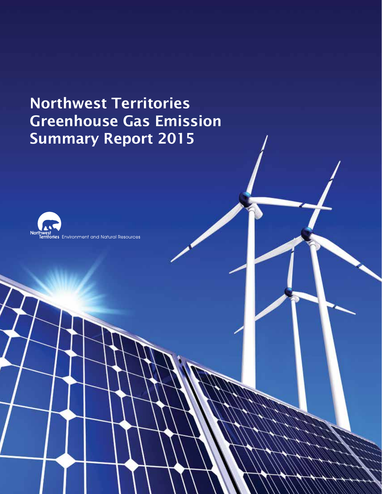# Northwest Territories Greenhouse Gas Emission Summary Report 2015

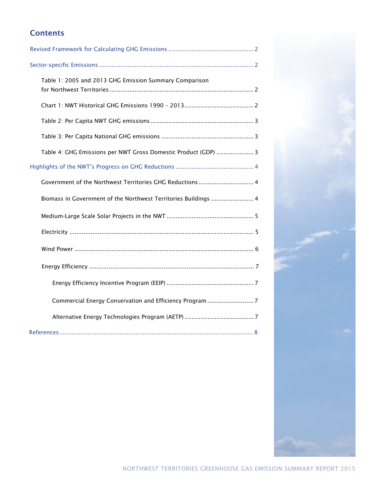# **Contents**

| Table 1: 2005 and 2013 GHG Emission Summary Comparison          |
|-----------------------------------------------------------------|
|                                                                 |
|                                                                 |
|                                                                 |
| Table 4: GHG Emissions per NWT Gross Domestic Product (GDP)  3  |
|                                                                 |
| Government of the Northwest Territories GHG Reductions  4       |
| Biomass in Government of the Northwest Territories Buildings  4 |
|                                                                 |
|                                                                 |
|                                                                 |
|                                                                 |
|                                                                 |
|                                                                 |
|                                                                 |
|                                                                 |

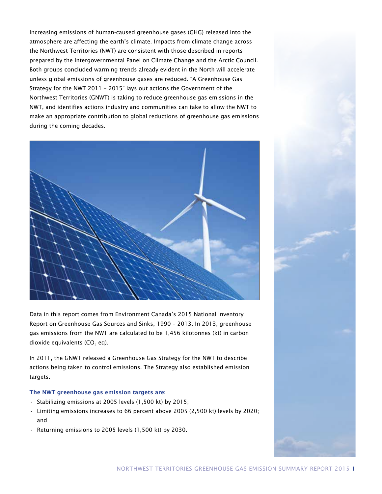Increasing emissions of human-caused greenhouse gases (GHG) released into the atmosphere are affecting the earth's climate. Impacts from climate change across the Northwest Territories (NWT) are consistent with those described in reports prepared by the Intergovernmental Panel on Climate Change and the Arctic Council. Both groups concluded warming trends already evident in the North will accelerate unless global emissions of greenhouse gases are reduced. "A Greenhouse Gas Strategy for the NWT 2011 – 2015" lays out actions the Government of the Northwest Territories (GNWT) is taking to reduce greenhouse gas emissions in the NWT, and identifies actions industry and communities can take to allow the NWT to make an appropriate contribution to global reductions of greenhouse gas emissions during the coming decades.



Data in this report comes from Environment Canada's 2015 National Inventory Report on Greenhouse Gas Sources and Sinks, 1990 – 2013. In 2013, greenhouse gas emissions from the NWT are calculated to be 1,456 kilotonnes (kt) in carbon dioxide equivalents (CO<sub>2</sub> eq).

In 2011, the GNWT released a Greenhouse Gas Strategy for the NWT to describe actions being taken to control emissions. The Strategy also established emission targets.

## The NWT greenhouse gas emission targets are:

- Stabilizing emissions at 2005 levels (1,500 kt) by 2015;
- Limiting emissions increases to 66 percent above 2005 (2,500 kt) levels by 2020; and
- Returning emissions to 2005 levels (1,500 kt) by 2030.

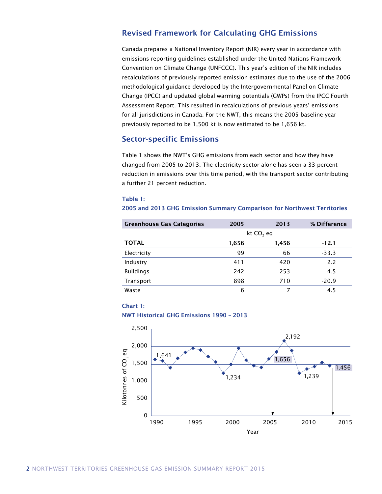## Revised Framework for Calculating GHG Emissions

Canada prepares a National Inventory Report (NIR) every year in accordance with emissions reporting guidelines established under the United Nations Framework Convention on Climate Change (UNFCCC). This year's edition of the NIR includes recalculations of previously reported emission estimates due to the use of the 2006 methodological guidance developed by the Intergovernmental Panel on Climate Change (IPCC) and updated global warming potentials (GWPs) from the IPCC Fourth Assessment Report. This resulted in recalculations of previous years' emissions for all jurisdictions in Canada. For the NWT, this means the 2005 baseline year previously reported to be 1,500 kt is now estimated to be 1,656 kt.

## Sector-specific Emissions

Table 1 shows the NWT's GHG emissions from each sector and how they have changed from 2005 to 2013. The electricity sector alone has seen a 33 percent reduction in emissions over this time period, with the transport sector contributing a further 21 percent reduction.

#### Table 1:

#### 2005 and 2013 GHG Emission Summary Comparison for Northwest Territories

| <b>Greenhouse Gas Categories</b> | 2005         | 2013  | % Difference |
|----------------------------------|--------------|-------|--------------|
|                                  | kt $CO$ , eq |       |              |
| <b>TOTAL</b>                     | 1,656        | 1,456 | -12.1        |
| Electricity                      | 99           | 66    | $-33.3$      |
| Industry                         | 411          | 420   | 2.2          |
| <b>Buildings</b>                 | 242          | 253   | 4.5          |
| Transport                        | 898          | 710   | $-20.9$      |
| Waste                            | 6            |       | 4.5          |

## Chart 1:

## NWT Historical GHG Emissions 1990 – 2013

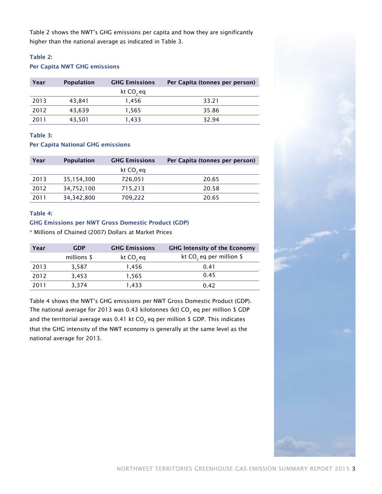Table 2 shows the NWT's GHG emissions per capita and how they are significantly higher than the national average as indicated in Table 3.

## Table 2:

## Per Capita NWT GHG emissions

| Year | <b>Population</b> | <b>GHG Emissions</b>  | Per Capita (tonnes per person) |
|------|-------------------|-----------------------|--------------------------------|
|      |                   | kt CO <sub>2</sub> eq |                                |
| 2013 | 43.841            | 1.456                 | 33.21                          |
| 2012 | 43,639            | 1,565                 | 35.86                          |
| 2011 | 43,501            | 1.433                 | 32.94                          |

## Table 3:

## Per Capita National GHG emissions

| Year | <b>Population</b> | <b>GHG Emissions</b>  | Per Capita (tonnes per person) |
|------|-------------------|-----------------------|--------------------------------|
|      |                   | kt CO <sub>2</sub> eq |                                |
| 2013 | 35,154,300        | 726,051               | 20.65                          |
| 2012 | 34,752,100        | 715,213               | 20.58                          |
| 2011 | 34, 342, 800      | 709,222               | 20.65                          |

## Table 4:

## GHG Emissions per NWT Gross Domestic Product (GDP)

\* Millions of Chained (2007) Dollars at Market Prices

| Year | <b>GDP</b>  | <b>GHG Emissions</b>  | <b>GHG Intensity of the Economy</b> |
|------|-------------|-----------------------|-------------------------------------|
|      | millions \$ | kt CO <sub>2</sub> eq | kt CO, eq per million \$            |
| 2013 | 3,587       | 1,456                 | 0.41                                |
| 2012 | 3,453       | 1,565                 | 0.45                                |
| 2011 | 3,374       | 1,433                 | 0.42                                |

Table 4 shows the NWT's GHG emissions per NWT Gross Domestic Product (GDP). The national average for 2013 was 0.43 kilotonnes (kt) CO $_{\rm 2}$  eq per million \$ GDP and the territorial average was 0.41 kt CO $_{\textrm{\tiny{2}}}$  eq per million \$ GDP. This indicates that the GHG intensity of the NWT economy is generally at the same level as the national average for 2013.

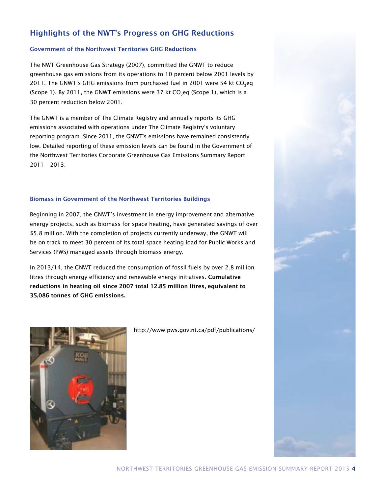# Highlights of the NWT's Progress on GHG Reductions

## Government of the Northwest Territories GHG Reductions

The NWT Greenhouse Gas Strategy (2007), committed the GNWT to reduce greenhouse gas emissions from its operations to 10 percent below 2001 levels by 2011. The GNWT's GHG emissions from purchased fuel in 2001 were 54 kt  $\mathsf{CO}_2$ eq (Scope 1). By 2011, the GNWT emissions were 37 kt CO<sub>2</sub>eq (Scope 1), which is a 30 percent reduction below 2001.

The GNWT is a member of The Climate Registry and annually reports its GHG emissions associated with operations under The Climate Registry's voluntary reporting program. Since 2011, the GNWT's emissions have remained consistently low. Detailed reporting of these emission levels can be found in the Government of the Northwest Territories Corporate Greenhouse Gas Emissions Summary Report 2011 – 2013.

## Biomass in Government of the Northwest Territories Buildings

Beginning in 2007, the GNWT's investment in energy improvement and alternative energy projects, such as biomass for space heating, have generated savings of over \$5.8 million. With the completion of projects currently underway, the GNWT will be on track to meet 30 percent of its total space heating load for Public Works and Services (PWS) managed assets through biomass energy.

In 2013/14, the GNWT reduced the consumption of fossil fuels by over 2.8 million litres through energy efficiency and renewable energy initiatives. Cumulative reductions in heating oil since 2007 total 12.85 million litres, equivalent to 35,086 tonnes of GHG emissions.



http://www.pws.gov.nt.ca/pdf/publications/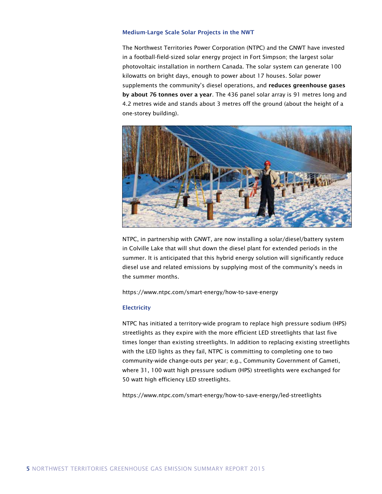#### Medium-Large Scale Solar Projects in the NWT

The Northwest Territories Power Corporation (NTPC) and the GNWT have invested in a football-field-sized solar energy project in Fort Simpson; the largest solar photovoltaic installation in northern Canada. The solar system can generate 100 kilowatts on bright days, enough to power about 17 houses. Solar power supplements the community's diesel operations, and reduces greenhouse gases by about 76 tonnes over a year. The 436 panel solar array is 91 metres long and 4.2 metres wide and stands about 3 metres off the ground (about the height of a one-storey building).



NTPC, in partnership with GNWT, are now installing a solar/diesel/battery system in Colville Lake that will shut down the diesel plant for extended periods in the summer. It is anticipated that this hybrid energy solution will significantly reduce diesel use and related emissions by supplying most of the community's needs in the summer months.

https://www.ntpc.com/smart-energy/how-to-save-energy

#### **Electricity**

NTPC has initiated a territory-wide program to replace high pressure sodium (HPS) streetlights as they expire with the more efficient LED streetlights that last five times longer than existing streetlights. In addition to replacing existing streetlights with the LED lights as they fail, NTPC is committing to completing one to two community-wide change-outs per year; e.g., Community Government of Gameti, where 31, 100 watt high pressure sodium (HPS) streetlights were exchanged for 50 watt high efficiency LED streetlights.

https://www.ntpc.com/smart-energy/how-to-save-energy/led-streetlights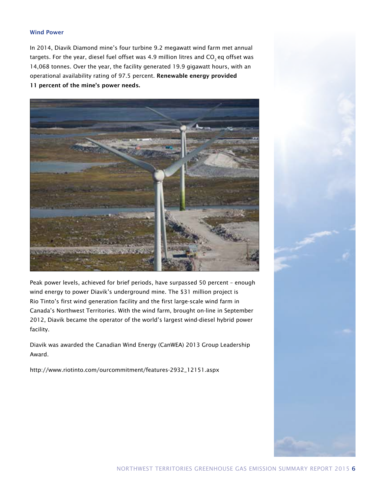## Wind Power

In 2014, Diavik Diamond mine's four turbine 9.2 megawatt wind farm met annual targets. For the year, diesel fuel offset was 4.9 million litres and  $CO<sub>2</sub>$  eq offset was 14,068 tonnes. Over the year, the facility generated 19.9 gigawatt hours, with an operational availability rating of 97.5 percent. Renewable energy provided 11 percent of the mine's power needs.



Peak power levels, achieved for brief periods, have surpassed 50 percent – enough wind energy to power Diavik's underground mine. The \$31 million project is Rio Tinto's first wind generation facility and the first large-scale wind farm in Canada's Northwest Territories. With the wind farm, brought on-line in September 2012, Diavik became the operator of the world's largest wind-diesel hybrid power facility.

Diavik was awarded the Canadian Wind Energy (CanWEA) 2013 Group Leadership Award.

http://www.riotinto.com/ourcommitment/features-2932\_12151.aspx

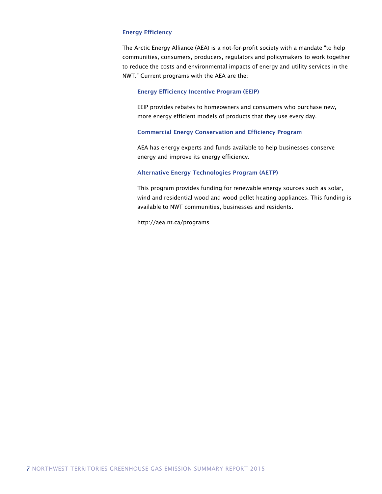#### Energy Efficiency

The Arctic Energy Alliance (AEA) is a not-for-profit society with a mandate "to help communities, consumers, producers, regulators and policymakers to work together to reduce the costs and environmental impacts of energy and utility services in the NWT." Current programs with the AEA are the:

#### Energy Efficiency Incentive Program (EEIP)

EEIP provides rebates to homeowners and consumers who purchase new, more energy efficient models of products that they use every day.

## Commercial Energy Conservation and Efficiency Program

AEA has energy experts and funds available to help businesses conserve energy and improve its energy efficiency.

## Alternative Energy Technologies Program (AETP)

This program provides funding for renewable energy sources such as solar, wind and residential wood and wood pellet heating appliances. This funding is available to NWT communities, businesses and residents.

http://aea.nt.ca/programs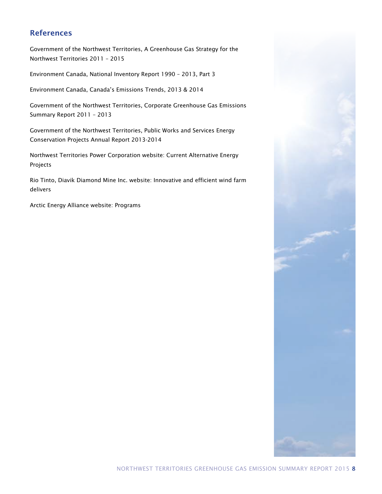## References

Government of the Northwest Territories, A Greenhouse Gas Strategy for the Northwest Territories 2011 – 2015

Environment Canada, National Inventory Report 1990 – 2013, Part 3

Environment Canada, Canada's Emissions Trends, 2013 & 2014

Government of the Northwest Territories, Corporate Greenhouse Gas Emissions Summary Report 2011 – 2013

Government of the Northwest Territories, Public Works and Services Energy Conservation Projects Annual Report 2013-2014

Northwest Territories Power Corporation website: Current Alternative Energy Projects

Rio Tinto, Diavik Diamond Mine Inc. website: Innovative and efficient wind farm delivers

Arctic Energy Alliance website: Programs